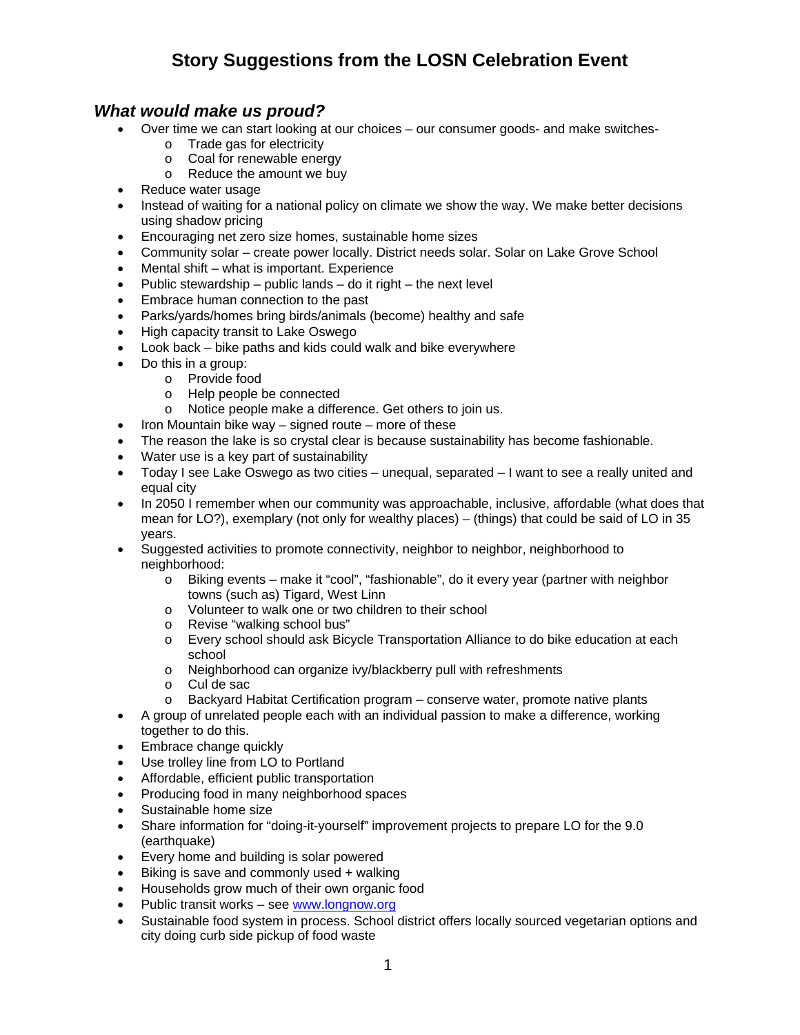#### *What would make us proud?*

- Over time we can start looking at our choices our consumer goods- and make switches
	- o Trade gas for electricity
	- o Coal for renewable energy
	- o Reduce the amount we buy
- Reduce water usage
- Instead of waiting for a national policy on climate we show the way. We make better decisions using shadow pricing
- **Encouraging net zero size homes, sustainable home sizes**
- Community solar create power locally. District needs solar. Solar on Lake Grove School
- Mental shift what is important. Experience
- Public stewardship public lands do it right the next level
- Embrace human connection to the past
- Parks/yards/homes bring birds/animals (become) healthy and safe
- High capacity transit to Lake Oswego
- Look back bike paths and kids could walk and bike everywhere
- Do this in a group:
	- o Provide food
		- o Help people be connected
	- o Notice people make a difference. Get others to join us.
- $\bullet$  Iron Mountain bike way signed route more of these
- The reason the lake is so crystal clear is because sustainability has become fashionable.
- Water use is a key part of sustainability
- $\bullet$  Today I see Lake Oswego as two cities unequal, separated I want to see a really united and equal city
- In 2050 I remember when our community was approachable, inclusive, affordable (what does that mean for LO?), exemplary (not only for wealthy places) – (things) that could be said of LO in 35 years.
- Suggested activities to promote connectivity, neighbor to neighbor, neighborhood to neighborhood:
	- o Biking events make it "cool", "fashionable", do it every year (partner with neighbor towns (such as) Tigard, West Linn
	- o Volunteer to walk one or two children to their school
	- o Revise "walking school bus"<br>o Every school should ask Bic
	- Every school should ask Bicycle Transportation Alliance to do bike education at each school
	- o Neighborhood can organize ivy/blackberry pull with refreshments
	- o Cul de sac
	- $\circ$  Backyard Habitat Certification program conserve water, promote native plants
- A group of unrelated people each with an individual passion to make a difference, working together to do this.
- Embrace change quickly
- Use trolley line from LO to Portland
- Affordable, efficient public transportation
- Producing food in many neighborhood spaces
- Sustainable home size
- Share information for "doing-it-yourself" improvement projects to prepare LO for the 9.0 (earthquake)
- Every home and building is solar powered
- Biking is save and commonly used + walking
- Households grow much of their own organic food
- Public transit works see www.longnow.org
- Sustainable food system in process. School district offers locally sourced vegetarian options and city doing curb side pickup of food waste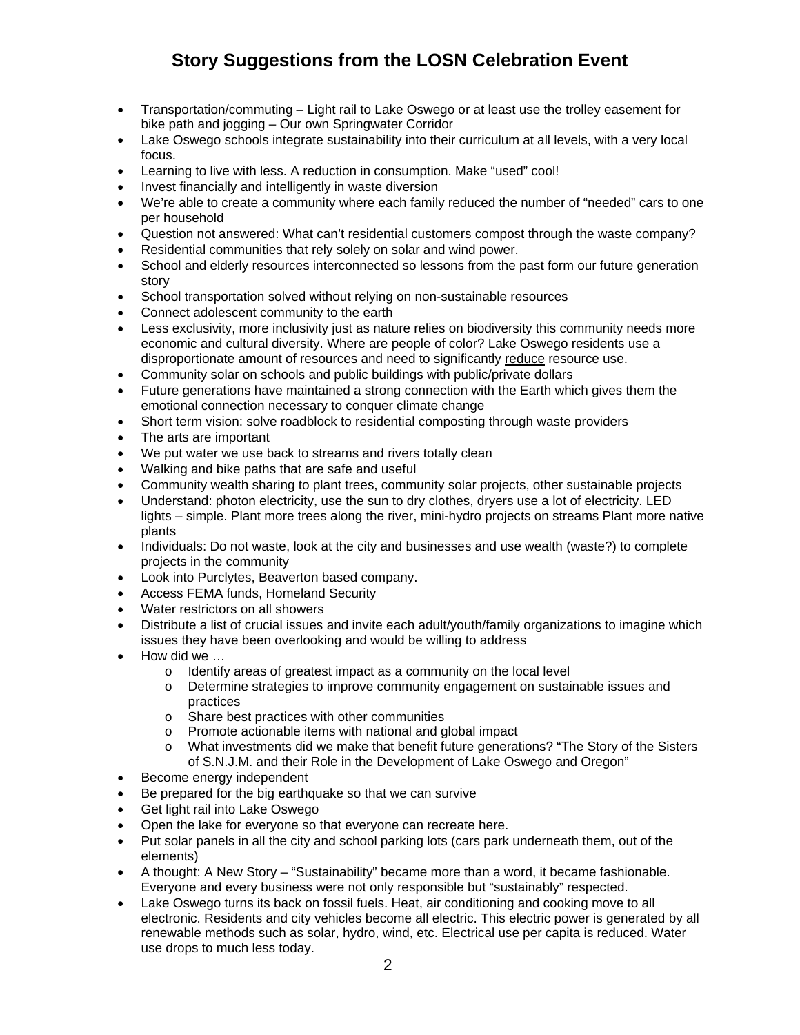- Transportation/commuting Light rail to Lake Oswego or at least use the trolley easement for bike path and jogging – Our own Springwater Corridor
- Lake Oswego schools integrate sustainability into their curriculum at all levels, with a very local focus.
- Learning to live with less. A reduction in consumption. Make "used" cool!
- Invest financially and intelligently in waste diversion
- We're able to create a community where each family reduced the number of "needed" cars to one per household
- Question not answered: What can't residential customers compost through the waste company?
- Residential communities that rely solely on solar and wind power.
- School and elderly resources interconnected so lessons from the past form our future generation story
- School transportation solved without relying on non-sustainable resources
- Connect adolescent community to the earth
- Less exclusivity, more inclusivity just as nature relies on biodiversity this community needs more economic and cultural diversity. Where are people of color? Lake Oswego residents use a disproportionate amount of resources and need to significantly reduce resource use.
- Community solar on schools and public buildings with public/private dollars
- Future generations have maintained a strong connection with the Earth which gives them the emotional connection necessary to conquer climate change
- Short term vision: solve roadblock to residential composting through waste providers
- The arts are important
- We put water we use back to streams and rivers totally clean
- Walking and bike paths that are safe and useful
- Community wealth sharing to plant trees, community solar projects, other sustainable projects
- Understand: photon electricity, use the sun to dry clothes, dryers use a lot of electricity. LED lights – simple. Plant more trees along the river, mini-hydro projects on streams Plant more native plants
- Individuals: Do not waste, look at the city and businesses and use wealth (waste?) to complete projects in the community
- Look into Purclytes, Beaverton based company.
- Access FEMA funds, Homeland Security
- Water restrictors on all showers
- Distribute a list of crucial issues and invite each adult/youth/family organizations to imagine which issues they have been overlooking and would be willing to address
- How did we …
	- o Identify areas of greatest impact as a community on the local level
	- o Determine strategies to improve community engagement on sustainable issues and practices
	- o Share best practices with other communities
	- o Promote actionable items with national and global impact
	- o What investments did we make that benefit future generations? "The Story of the Sisters of S.N.J.M. and their Role in the Development of Lake Oswego and Oregon"
- Become energy independent
- Be prepared for the big earthquake so that we can survive
- Get light rail into Lake Oswego
- Open the lake for everyone so that everyone can recreate here.
- Put solar panels in all the city and school parking lots (cars park underneath them, out of the elements)
- A thought: A New Story "Sustainability" became more than a word, it became fashionable. Everyone and every business were not only responsible but "sustainably" respected.
- Lake Oswego turns its back on fossil fuels. Heat, air conditioning and cooking move to all electronic. Residents and city vehicles become all electric. This electric power is generated by all renewable methods such as solar, hydro, wind, etc. Electrical use per capita is reduced. Water use drops to much less today.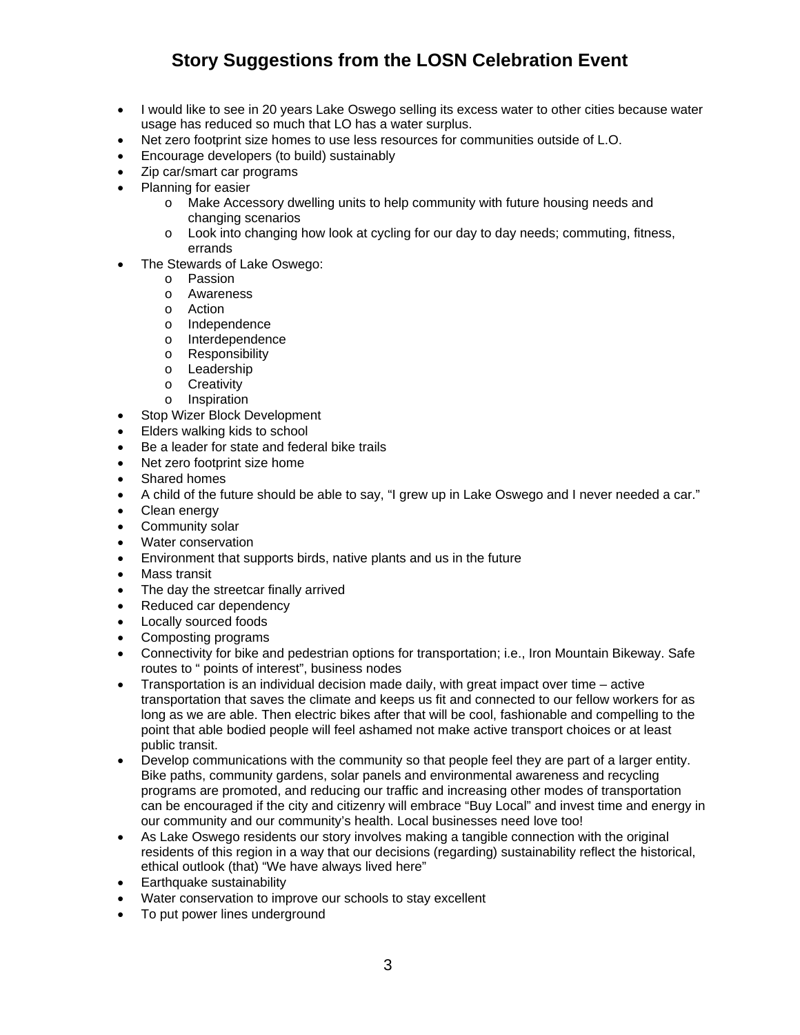- I would like to see in 20 years Lake Oswego selling its excess water to other cities because water usage has reduced so much that LO has a water surplus.
- Net zero footprint size homes to use less resources for communities outside of L.O.
- Encourage developers (to build) sustainably
- Zip car/smart car programs
- Planning for easier
	- o Make Accessory dwelling units to help community with future housing needs and changing scenarios
	- o Look into changing how look at cycling for our day to day needs; commuting, fitness, errands
- The Stewards of Lake Oswego:
	- o Passion
	- o Awareness
	- o Action<br>o Indepe
	- Independence
	- o Interdependence
	- o Responsibility
	- o Leadership
	- o Creativity
	- o Inspiration
- Stop Wizer Block Development
- Elders walking kids to school
- Be a leader for state and federal bike trails
- Net zero footprint size home
- Shared homes
- A child of the future should be able to say, "I grew up in Lake Oswego and I never needed a car."
- Clean energy
- Community solar
- Water conservation
- Environment that supports birds, native plants and us in the future
- Mass transit
- The day the streetcar finally arrived
- Reduced car dependency
- Locally sourced foods
- Composting programs
- Connectivity for bike and pedestrian options for transportation; i.e., Iron Mountain Bikeway. Safe routes to " points of interest", business nodes
- Transportation is an individual decision made daily, with great impact over time active transportation that saves the climate and keeps us fit and connected to our fellow workers for as long as we are able. Then electric bikes after that will be cool, fashionable and compelling to the point that able bodied people will feel ashamed not make active transport choices or at least public transit.
- Develop communications with the community so that people feel they are part of a larger entity. Bike paths, community gardens, solar panels and environmental awareness and recycling programs are promoted, and reducing our traffic and increasing other modes of transportation can be encouraged if the city and citizenry will embrace "Buy Local" and invest time and energy in our community and our community's health. Local businesses need love too!
- As Lake Oswego residents our story involves making a tangible connection with the original residents of this region in a way that our decisions (regarding) sustainability reflect the historical, ethical outlook (that) "We have always lived here"
- Earthquake sustainability
- Water conservation to improve our schools to stay excellent
- To put power lines underground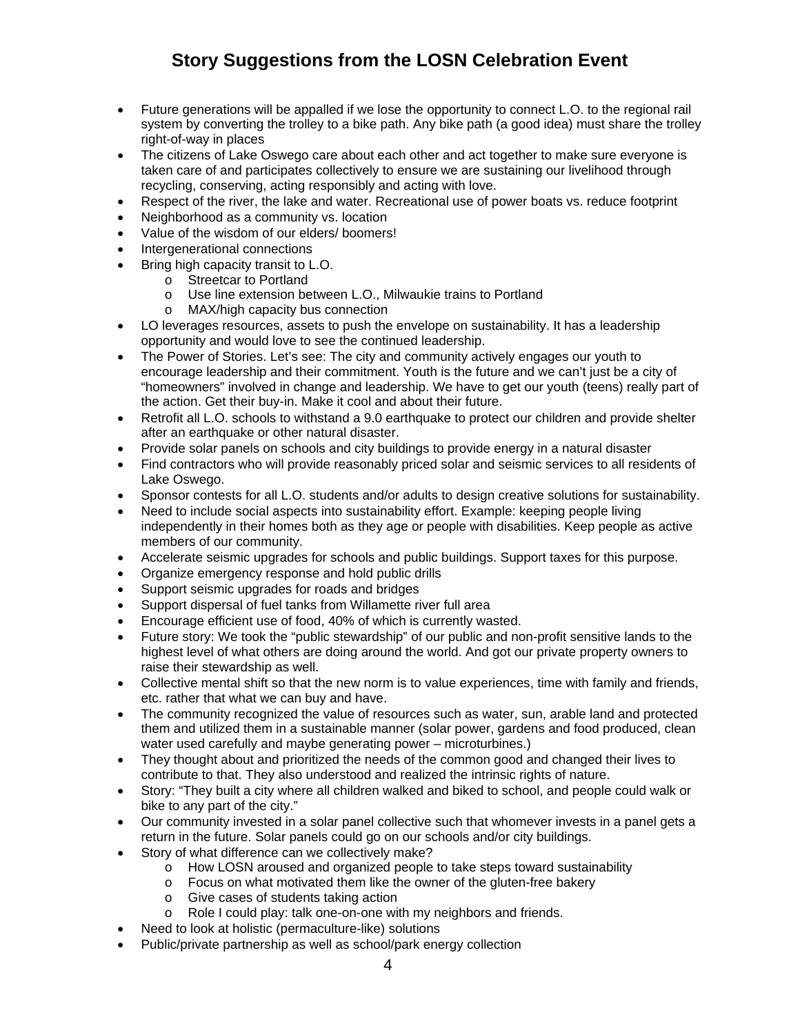- Future generations will be appalled if we lose the opportunity to connect L.O. to the regional rail system by converting the trolley to a bike path. Any bike path (a good idea) must share the trolley right-of-way in places
- The citizens of Lake Oswego care about each other and act together to make sure everyone is taken care of and participates collectively to ensure we are sustaining our livelihood through recycling, conserving, acting responsibly and acting with love.
- Respect of the river, the lake and water. Recreational use of power boats vs. reduce footprint
- Neighborhood as a community vs. location
- Value of the wisdom of our elders/ boomers!
- Intergenerational connections
- Bring high capacity transit to L.O.
	- o Streetcar to Portland
	- o Use line extension between L.O., Milwaukie trains to Portland
	- o MAX/high capacity bus connection
- LO leverages resources, assets to push the envelope on sustainability. It has a leadership opportunity and would love to see the continued leadership.
- The Power of Stories. Let's see: The city and community actively engages our youth to encourage leadership and their commitment. Youth is the future and we can't just be a city of "homeowners" involved in change and leadership. We have to get our youth (teens) really part of the action. Get their buy-in. Make it cool and about their future.
- Retrofit all L.O. schools to withstand a 9.0 earthquake to protect our children and provide shelter after an earthquake or other natural disaster.
- Provide solar panels on schools and city buildings to provide energy in a natural disaster
- Find contractors who will provide reasonably priced solar and seismic services to all residents of Lake Oswego.
- Sponsor contests for all L.O. students and/or adults to design creative solutions for sustainability.
- Need to include social aspects into sustainability effort. Example: keeping people living independently in their homes both as they age or people with disabilities. Keep people as active members of our community.
- Accelerate seismic upgrades for schools and public buildings. Support taxes for this purpose.
- Organize emergency response and hold public drills
- Support seismic upgrades for roads and bridges
- Support dispersal of fuel tanks from Willamette river full area
- Encourage efficient use of food, 40% of which is currently wasted.
- Future story: We took the "public stewardship" of our public and non-profit sensitive lands to the highest level of what others are doing around the world. And got our private property owners to raise their stewardship as well.
- Collective mental shift so that the new norm is to value experiences, time with family and friends, etc. rather that what we can buy and have.
- The community recognized the value of resources such as water, sun, arable land and protected them and utilized them in a sustainable manner (solar power, gardens and food produced, clean water used carefully and maybe generating power – microturbines.)
- They thought about and prioritized the needs of the common good and changed their lives to contribute to that. They also understood and realized the intrinsic rights of nature.
- Story: "They built a city where all children walked and biked to school, and people could walk or bike to any part of the city."
- Our community invested in a solar panel collective such that whomever invests in a panel gets a return in the future. Solar panels could go on our schools and/or city buildings.
- Story of what difference can we collectively make?
	- o How LOSN aroused and organized people to take steps toward sustainability
	- o Focus on what motivated them like the owner of the gluten-free bakery
	- o Give cases of students taking action
	- o Role I could play: talk one-on-one with my neighbors and friends.
- Need to look at holistic (permaculture-like) solutions
- Public/private partnership as well as school/park energy collection